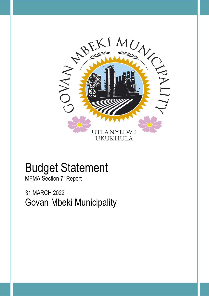

# Budget Statement

MFMA Section 71Report

 31 MARCH 2022 Govan Mbeki Municipality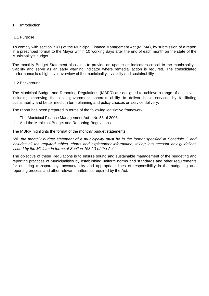# 1. Introduction

# 1.1 Purpose

To comply with section 71(1) of the Municipal Finance Management Act (MFMA), by submission of a report in a prescribed format to the Mayor within 10 working days after the end of each month on the state of the Municipality's budget.

The monthly Budget Statement also aims to provide an update on indicators critical to the municipality's viability and serve as an early warning indicator where remedial action is required. The consolidated performance is a high level overview of the municipality's viability and sustainability.

# 1.2 Background

The Municipal Budget and Reporting Regulations (MBRR) are designed to achieve a range of objectives, including improving the local government sphere's ability to deliver basic services by facilitating sustainability and better medium term planning and policy choices on service delivery.

The report has been prepared in terms of the following legislative framework:

- i. The Municipal Finance Management Act No.56 of 2003
- ii. And the Municipal Budget and Reporting Regulations

The MBRR highlights the format of the monthly budget statements.

*"28. the monthly budget statement of a municipality must be in the format specified in Schedule C and includes all the required tables, charts and explanatory information, taking into account any guidelines issued by the Minister in terms of Section 168 (1) of the Act."*

The objective of these Regulations is to ensure sound and sustainable management of the budgeting and reporting practices of Municipalities by establishing uniform norms and standards and other requirements for ensuring transparency, accountability and appropriate lines of responsibility in the budgeting and reporting process and other relevant matters as required by the Act.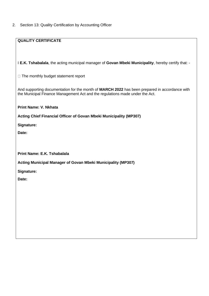2. Section 13: Quality Certification by Accounting Officer

| I E.K. Tshabalala, the acting municipal manager of Govan Mbeki Municipality, hereby certify that: -                                                                           |
|-------------------------------------------------------------------------------------------------------------------------------------------------------------------------------|
| $\Box$ The monthly budget statement report                                                                                                                                    |
| And supporting documentation for the month of MARCH 2022 has been prepared in accordance with<br>the Municipal Finance Management Act and the regulations made under the Act. |
| <b>Print Name: V. Nkhata</b>                                                                                                                                                  |
| Acting Chief Financial Officer of Govan Mbeki Municipality (MP307)                                                                                                            |
| Signature:                                                                                                                                                                    |
| Date:                                                                                                                                                                         |
|                                                                                                                                                                               |
|                                                                                                                                                                               |
| Print Name: E.K. Tshabalala                                                                                                                                                   |
| Acting Municipal Manager of Govan Mbeki Municipality (MP307)                                                                                                                  |
| Signature:                                                                                                                                                                    |
| Date:                                                                                                                                                                         |
|                                                                                                                                                                               |
|                                                                                                                                                                               |
|                                                                                                                                                                               |
|                                                                                                                                                                               |
|                                                                                                                                                                               |
|                                                                                                                                                                               |
|                                                                                                                                                                               |
|                                                                                                                                                                               |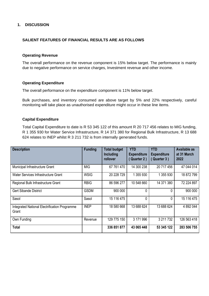# **1. DISCUSSION**

#### **SALIENT FEATURES OF FINANCIAL RESULTS ARE AS FOLLOWS**

#### **Operating Revenue**

The overall performance on the revenue component is 15% below target. The performance is mainly due to negative performance on service charges, Investment revenue and other income.

#### **Operating Expenditure**

The overall performance on the expenditure component is 11% below target.

Bulk purchases, and inventory consumed are above target by 5% and 22% respectively, careful monitoring will take place as unauthorised expenditure might occur in these line items.

#### **Capital Expenditure**

Total Capital Expenditure to date is R 53 345 122 of this amount R 20 717 456 relates to MIG funding, R 1 355 930 for Water Service Infrastructure, R 14 371 380 for Regional Bulk Infrastructure, R 13 688 624 relates to INEP whilst R 3 211 732 is from internally generated funds.

| <b>Description</b>                                     | <b>Funding</b> | <b>Total budget</b><br><b>Including</b><br>rollover | <b>YTD</b><br><b>Expenditure</b><br>Quarter 2) | <b>YTD</b><br><b>Expenditure</b><br>Quarter 3) | Available as<br>at 31 March<br>2022 |
|--------------------------------------------------------|----------------|-----------------------------------------------------|------------------------------------------------|------------------------------------------------|-------------------------------------|
| Municipal Infrastructure Grant                         | <b>MIG</b>     | 67 761 470                                          | 14 300 238                                     | 20 717 456                                     | 47 044 014                          |
| Water Services Infrastructure Grant                    | <b>WSIG</b>    | 20 228 729                                          | 1 355 930                                      | 1 355 930                                      | 18 872 799                          |
| Regional Bulk Infrastructure Grant                     | <b>RBIG</b>    | 86 596 277                                          | 10 548 660                                     | 14 371 380                                     | 72 224 897                          |
| <b>Gert Sibande District</b>                           | <b>GSDM</b>    | 900 000                                             | 0                                              | 0                                              | 900 000                             |
| Sasol                                                  | Sasol          | 15 116 475                                          | 0                                              | 0                                              | 15 116 475                          |
| Integrated National Electrification Programme<br>Grant | <b>INEP</b>    | 18 580 668                                          | 13 688 624                                     | 13 688 624                                     | 4 892 044                           |
| Own Funding                                            | Revenue        | 129 775 150                                         | 3 171 996                                      | 3 211 732                                      | 126 563 418                         |
| <b>Total</b>                                           |                | 336 851 877                                         | 43 065 448                                     | 53 345 122                                     | 283 506 755                         |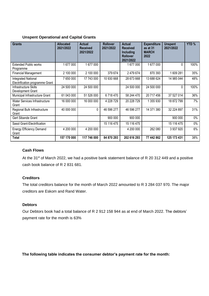# **Unspent Operational and Capital Grants**

| <b>Grants</b>                                                 | <b>Allocated</b><br>2021/2022 | <b>Actual</b><br><b>Received</b><br>2021/2022 | <b>Rollover</b><br>2021/2022 | <b>Actual</b><br><b>Received</b><br><b>Including</b><br><b>Rollover</b><br>2021/2022 | <b>Expenditure</b><br>as at 31<br><b>MARCH</b><br>2022 | <b>Unspent</b><br>2021/2022 | YTD % |
|---------------------------------------------------------------|-------------------------------|-----------------------------------------------|------------------------------|--------------------------------------------------------------------------------------|--------------------------------------------------------|-----------------------------|-------|
| <b>Extended Public works</b><br>Programme                     | 1677000                       | 1677000                                       |                              | 1 677 000                                                                            | 1 677 000                                              | 0                           | 100%  |
| <b>Financial Management</b>                                   | 2 100 000                     | 2 100 000                                     | 379 674                      | 2 479 674                                                                            | 870 393                                                | 1609281                     | 35%   |
| <b>Integrated National</b><br>Electrification programme Grant | 7 650 000                     | 17 743 000                                    | 10 930 668                   | 28 673 668                                                                           | 13 688 624                                             | 14 985 044                  | 48%   |
| Infrastructure Skills<br>Development Grant                    | 24 500 000                    | 24 500 000                                    |                              | 24 500 000                                                                           | 24 500 000                                             | 0                           | 100%  |
| Municipal Infrastructure Grant                                | 61 043 000                    | 51 526 000                                    | 6718470                      | 58 244 470                                                                           | 20 717 456                                             | 37 527 014                  | 36%   |
| Water Services Infrastructure<br>Grant                        | 16 000 000                    | 16 000 000                                    | 4 228 729                    | 20 228 729                                                                           | 1 355 930                                              | 18 872 799                  | 7%    |
| Regional Bulk Infrastructure<br>Grant                         | 40 000 000                    | 0                                             | 46 596 277                   | 46 596 277                                                                           | 14 371 380                                             | 32 224 897                  | 31%   |
| Gert Sibande Grant                                            |                               |                                               | 900 000                      | 900 000                                                                              |                                                        | 900 000                     | $0\%$ |
| Sasol Grant-Electrification                                   |                               |                                               | 15 116 475                   | 15 116 475                                                                           |                                                        | 15 116 475                  | $0\%$ |
| <b>Energy Efficiency Demand</b><br>Grant                      | 4 200 000                     | 4 200 000                                     |                              | 4 200 000                                                                            | 262 080                                                | 3 937 920                   | 6%    |
| Total                                                         | 157 170 000                   | 117 746 000                                   | 84 870 293                   | 202 616 293                                                                          | 77 442 862                                             | 125 173 431                 | 38%   |

# **Cash Flows**

At the 31<sup>st</sup> of March 2022, we had a positive bank statement balance of R 20 312 449 and a positive cash book balance of R 2 831 681.

# **Creditors**

The total creditors balance for the month of March 2022 amounted to R 3 284 037 970. The major creditors are Eskom and Rand Water.

# **Debtors**

Our Debtors book had a total balance of R 2 912 158 944 as at end of March 2022. The debtors' payment rate for the month is 63%

 **The following table indicates the consumer debtor's payment rate for the month:**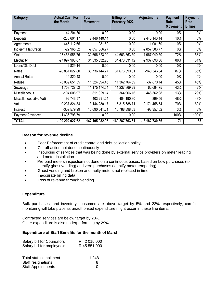| <b>Category</b>       | <b>Actual Cash For</b><br>the Month | <b>Total</b><br><b>Movement</b> | <b>Billing for</b><br>February 2022 | <b>Adjustments</b> | <b>Payment</b><br>Rate<br><b>Movement</b> | <b>Payment</b><br>Rate<br><b>Billing</b> |
|-----------------------|-------------------------------------|---------------------------------|-------------------------------------|--------------------|-------------------------------------------|------------------------------------------|
| Payment               | 44 204.80                           | 0.00                            | 0.00                                | 0.00               | $0\%$                                     | $0\%$                                    |
| Deposits              | -238 604.17                         | 2 446 140.14                    | 0.00                                | 2 446 140.14       | 10%                                       | $0\%$                                    |
| Agreements            | -445 112.65                         | $-1081.60$                      | 0.00                                | $-1081.60$         | $0\%$                                     | $0\%$                                    |
| Indigent Flat Credit  | $-22965.02$                         | -2 857 386.77                   | 0.00                                | -2 857 386.77      | $0\%$                                     | $0\%$                                    |
| Water                 | -23 456 956.76                      | 32 696 623.00                   | 44 663 663.50                       | -11 967 040.50     | 72%                                       | 53%                                      |
| Electricity           | -27 897 983.67                      | 31 535 632.26                   | 34 473 531.12                       | -2 937 898.86      | 88%                                       | 81%                                      |
| Loans/Old Debt        | $-2829.14$                          | 0.00                            | 0.00                                | 0.00               | $0\%$                                     | $0\%$                                    |
| Rates                 | -26 851 027.80                      | 30 736 144.77                   | 31 676 690.81                       | -940 546.04        | 87%                                       | 85%                                      |
| <b>Annual Rates</b>   | $-19820.48$                         | 0.00                            | 0.00                                | 0.00               | $0\%$                                     | $0\%$                                    |
| Refuse                | -5 069 651.55                       | 11 324 894.45                   | 11 362 764.59                       | $-37870.14$        | 45%                                       | 45%                                      |
| Sewerage              | -4 759 727.52                       | 11 175 174.54                   | 11 237 869.29                       | $-62694.75$        | 43%                                       | 42%                                      |
| Miscellaneous         | $-104606.97$                        | 811 329.14                      | 364 966.16                          | 446 362.98         | 13%                                       | 29%                                      |
| Miscellaneous(No Vat) | -192 743.57                         | 403 291.24                      | 404 190.80                          | $-899.56$          | 48%                                       | 48%                                      |
| Vat                   | -9 237 824.34                       | 13 144 230.17                   | 15 315 688.71                       | -2 171 458.54      | 70%                                       | 60%                                      |
| Interest              | -309 579.99                         | 10 690 041.61                   | 10 788 398.63                       | -98 357.02         | 3%                                        | 3%                                       |
| Payment Advanced      | -1 636 798.79                       | 0.00                            | 0.00                                |                    | 100%                                      | 100%                                     |
| <b>TOTAL</b>          | -100 202 027.62                     | 142 105 032.95                  | 160 287 763.61                      | -18 182 730.66     | 71                                        | 63                                       |

# **Reason for revenue decline**

- Poor Enforcement of credit control and debt collection policy
- Cut off action not done continuously
- Insourcing of services that was being done by external service providers on meter reading and meter installation
- Pre-paid meters inspection not done on a continuous bases, based on Low purchases (to Identify ghost vending) and zero purchases (identify meter tempering);
- Ghost vending and broken and faulty meters not replaced in time.
- Inaccurate billing data
- Loss of revenue through vending

# **Expenditure**

Bulk purchases, and inventory consumed are above target by 5% and 22% respectively, careful monitoring will take place as unauthorised expenditure might occur in these line items.

Contracted services are below target by 28%. Other expenditure is also underperforming by 29%.

# **Expenditure of Staff Benefits for the month of March**

| Salary bill for Councillors | R 2 015 000  |
|-----------------------------|--------------|
| Salary bill for employee's  | R 45 551 000 |
|                             |              |
| Total staff compliment      | 1 2 4 8      |
| Staff resignations          | 8            |

Staff Appointments 0